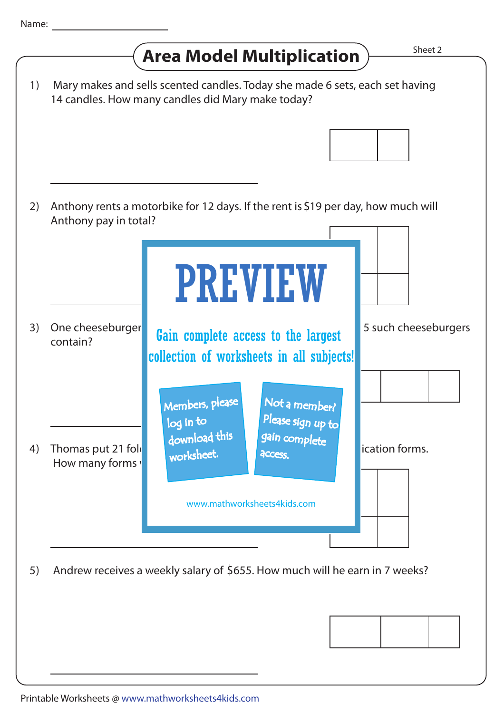